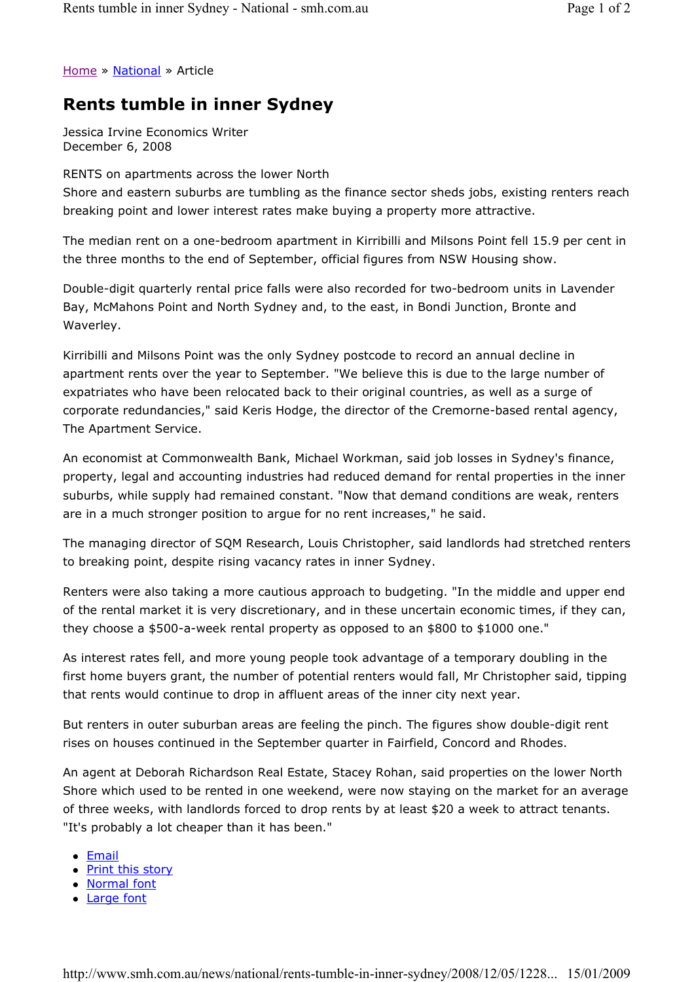Home » National » Article

## Rents tumble in inner Sydney

Jessica Irvine Economics Writer December 6, 2008

## RENTS on apartments across the lower North

Shore and eastern suburbs are tumbling as the finance sector sheds jobs, existing renters reach breaking point and lower interest rates make buying a property more attractive.

The median rent on a one-bedroom apartment in Kirribilli and Milsons Point fell 15.9 per cent in the three months to the end of September, official figures from NSW Housing show.

Double-digit quarterly rental price falls were also recorded for two-bedroom units in Lavender Bay, McMahons Point and North Sydney and, to the east, in Bondi Junction, Bronte and Waverley.

Kirribilli and Milsons Point was the only Sydney postcode to record an annual decline in apartment rents over the year to September. "We believe this is due to the large number of expatriates who have been relocated back to their original countries, as well as a surge of corporate redundancies," said Keris Hodge, the director of the Cremorne-based rental agency, The Apartment Service.

An economist at Commonwealth Bank, Michael Workman, said job losses in Sydney's finance, property, legal and accounting industries had reduced demand for rental properties in the inner suburbs, while supply had remained constant. "Now that demand conditions are weak, renters are in a much stronger position to argue for no rent increases," he said.

The managing director of SQM Research, Louis Christopher, said landlords had stretched renters to breaking point, despite rising vacancy rates in inner Sydney.

Renters were also taking a more cautious approach to budgeting. "In the middle and upper end of the rental market it is very discretionary, and in these uncertain economic times, if they can, they choose a \$500-a-week rental property as opposed to an \$800 to \$1000 one."

As interest rates fell, and more young people took advantage of a temporary doubling in the first home buyers grant, the number of potential renters would fall, Mr Christopher said, tipping that rents would continue to drop in affluent areas of the inner city next year.

But renters in outer suburban areas are feeling the pinch. The figures show double-digit rent rises on houses continued in the September quarter in Fairfield, Concord and Rhodes.

An agent at Deborah Richardson Real Estate, Stacey Rohan, said properties on the lower North Shore which used to be rented in one weekend, were now staying on the market for an average of three weeks, with landlords forced to drop rents by at least \$20 a week to attract tenants. "It's probably a lot cheaper than it has been."

- Email
- Print this story
- Normal font
- Large font